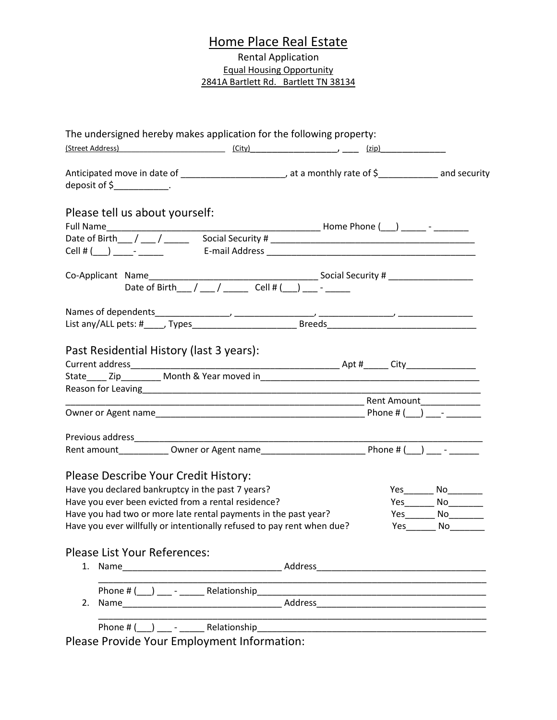## Home Place Real Estate

Rental Application Equal Housing Opportunity 2841A Bartlett Rd. Bartlett TN 38134

|    |                                                                 |  | The undersigned hereby makes application for the following property:                                           |  |                               |
|----|-----------------------------------------------------------------|--|----------------------------------------------------------------------------------------------------------------|--|-------------------------------|
|    |                                                                 |  | (Street Address) (City) (City) (City) (2ip) (2ip)                                                              |  |                               |
|    | deposit of $\frac{2}{2}$ _____________.                         |  |                                                                                                                |  |                               |
|    | Please tell us about yourself:                                  |  |                                                                                                                |  |                               |
|    |                                                                 |  |                                                                                                                |  |                               |
|    |                                                                 |  |                                                                                                                |  |                               |
|    |                                                                 |  | Date of Birth $1/2$ cell # ( ) $2/2$                                                                           |  |                               |
|    |                                                                 |  |                                                                                                                |  |                               |
|    |                                                                 |  | List any/ALL pets: #_____, Types_________________________________Breeds_____________________________           |  |                               |
|    |                                                                 |  |                                                                                                                |  |                               |
|    | Previous address___________                                     |  |                                                                                                                |  |                               |
|    |                                                                 |  |                                                                                                                |  |                               |
|    | Please Describe Your Credit History:                            |  |                                                                                                                |  |                               |
|    | Have you declared bankruptcy in the past 7 years?               |  |                                                                                                                |  |                               |
|    | Have you ever been evicted from a rental residence?             |  |                                                                                                                |  | Yes____________ No___________ |
|    | Have you had two or more late rental payments in the past year? |  |                                                                                                                |  | $Yes$ No $\_\_$               |
|    |                                                                 |  | Have you ever willfully or intentionally refused to pay rent when due? The State State State State State State |  |                               |
|    | <b>Please List Your References:</b>                             |  |                                                                                                                |  |                               |
|    |                                                                 |  |                                                                                                                |  |                               |
|    |                                                                 |  |                                                                                                                |  |                               |
| 2. |                                                                 |  |                                                                                                                |  |                               |
|    |                                                                 |  |                                                                                                                |  |                               |

Please Provide Your Employment Information: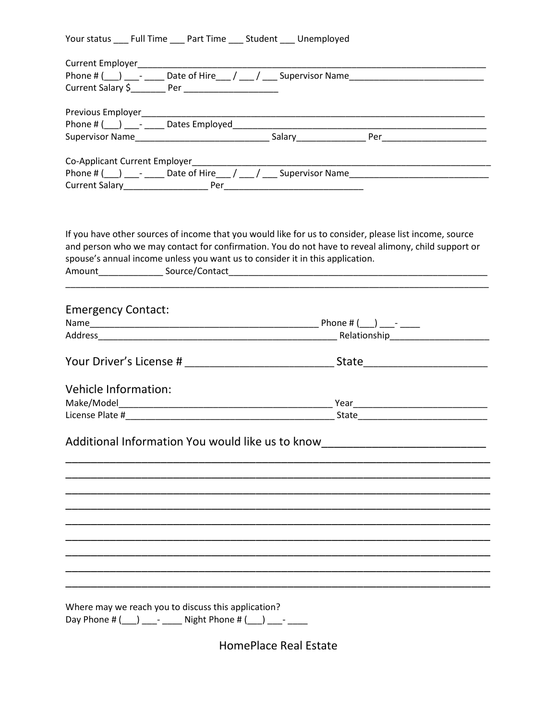| Your status | <b>Full Time</b> | Part Time | Student | Unemployed |
|-------------|------------------|-----------|---------|------------|
|             |                  |           |         |            |

| spouse's annual income unless you want us to consider it in this application. |                     | If you have other sources of income that you would like for us to consider, please list income, source<br>and person who we may contact for confirmation. You do not have to reveal alimony, child support or |  |
|-------------------------------------------------------------------------------|---------------------|---------------------------------------------------------------------------------------------------------------------------------------------------------------------------------------------------------------|--|
| <b>Emergency Contact:</b>                                                     |                     |                                                                                                                                                                                                               |  |
|                                                                               |                     |                                                                                                                                                                                                               |  |
|                                                                               |                     |                                                                                                                                                                                                               |  |
|                                                                               |                     |                                                                                                                                                                                                               |  |
|                                                                               |                     |                                                                                                                                                                                                               |  |
| Vehicle Information:                                                          |                     |                                                                                                                                                                                                               |  |
|                                                                               |                     |                                                                                                                                                                                                               |  |
|                                                                               |                     |                                                                                                                                                                                                               |  |
|                                                                               |                     | Additional Information You would like us to know                                                                                                                                                              |  |
|                                                                               |                     |                                                                                                                                                                                                               |  |
|                                                                               |                     |                                                                                                                                                                                                               |  |
|                                                                               |                     |                                                                                                                                                                                                               |  |
|                                                                               |                     |                                                                                                                                                                                                               |  |
|                                                                               |                     |                                                                                                                                                                                                               |  |
|                                                                               |                     |                                                                                                                                                                                                               |  |
|                                                                               |                     |                                                                                                                                                                                                               |  |
|                                                                               |                     |                                                                                                                                                                                                               |  |
|                                                                               |                     |                                                                                                                                                                                                               |  |
| Where may we reach you to discuss this application?<br>Day Phone # $($ ) -    | Night Phone # $($ ) |                                                                                                                                                                                                               |  |

**HomePlace Real Estate**